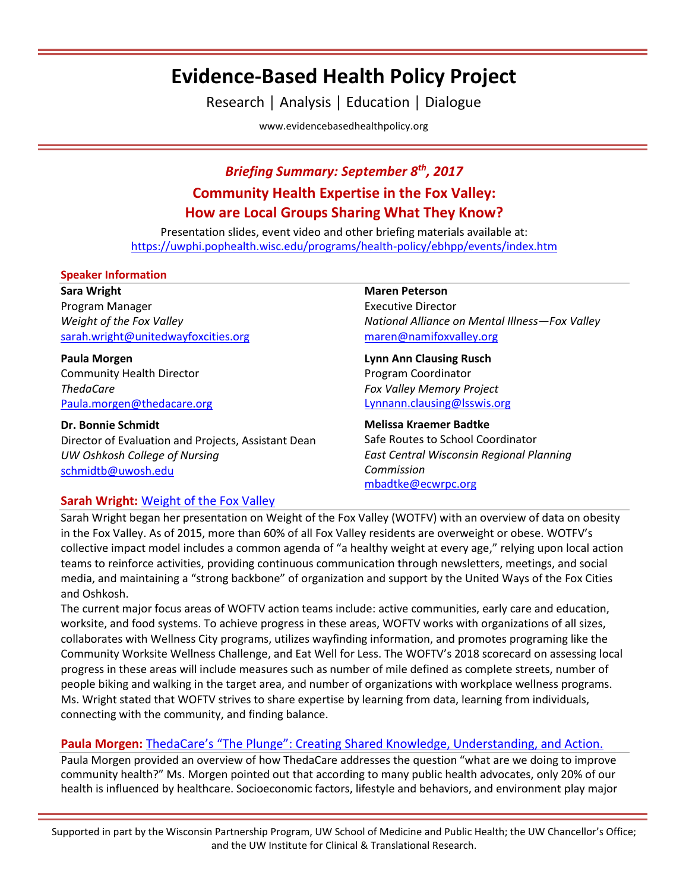# **Evidence-Based Health Policy Project**

Research │ Analysis │ Education │ Dialogue

[www.evidencebasedhealthpolicy.org](file:///C:/Users/randrae/Downloads/www.evidencebasedhealthpolicy.org)

# *Briefing Summary: September 8th, 2017* **Community Health Expertise in the Fox Valley: How are Local Groups Sharing What They Know?**

Presentation slides, event video and other briefing materials available at: <https://uwphi.pophealth.wisc.edu/programs/health-policy/ebhpp/events/index.htm>

#### **Speaker Information**

#### **Sara Wright**

Program Manager *Weight of the Fox Valley* [sarah.wright@unitedwayfoxcities.org](mailto:sarah.wright@unitedwayfoxcities.org)

**Paula Morgen** Community Health Director *ThedaCare* [Paula.morgen@thedacare.org](mailto:Paula.morgen@thedacare.org)

#### **Dr. Bonnie Schmidt**

Director of Evaluation and Projects, Assistant Dean *UW Oshkosh College of Nursing* [schmidtb@uwosh.edu](mailto:schmidtb@uwosh.edu)

#### **Maren Peterson**

Executive Director *National Alliance on Mental Illness—Fox Valley* [maren@namifoxvalley.org](mailto:maren@namifoxvalley.org)

#### **Lynn Ann Clausing Rusch** Program Coordinator *Fox Valley Memory Project*  [Lynnann.clausing@lsswis.org](mailto:Lynnann.clausing@lsswis.org)

#### **Melissa Kraemer Badtke**

Safe Routes to School Coordinator *East Central Wisconsin Regional Planning Commission*  [mbadtke@ecwrpc.org](mailto:mbadtke@ecwrpc.org)

### **Sarah Wright:** [Weight of the Fox Valley](http://www.weightofthefoxvalley.org/)

Sarah Wright began her presentation on Weight of the Fox Valley (WOTFV) with an overview of data on obesity in the Fox Valley. As of 2015, more than 60% of all Fox Valley residents are overweight or obese. WOTFV's collective impact model includes a common agenda of "a healthy weight at every age," relying upon local action teams to reinforce activities, providing continuous communication through newsletters, meetings, and social media, and maintaining a "strong backbone" of organization and support by the United Ways of the Fox Cities and Oshkosh.

The current major focus areas of WOFTV action teams include: active communities, early care and education, worksite, and food systems. To achieve progress in these areas, WOFTV works with organizations of all sizes, collaborates with Wellness City programs, utilizes wayfinding information, and promotes programing like the Community Worksite Wellness Challenge, and Eat Well for Less. The WOFTV's 2018 scorecard on assessing local progress in these areas will include measures such as number of mile defined as complete streets, number of people biking and walking in the target area, and number of organizations with workplace wellness programs. Ms. Wright stated that WOFTV strives to share expertise by learning from data, learning from individuals, connecting with the community, and finding balance.

## **Paula Morgen:** ThedaCare's ["The Plunge": Creating Shared Knowledge, Understanding, and Action.](https://www.thedacare.org/getting%20involved/improving%20community%20health/community%20plunge.aspx)

Paula Morgen provided an overview of how ThedaCare addresses the question "what are we doing to improve community health?" Ms. Morgen pointed out that according to many public health advocates, only 20% of our health is influenced by healthcare. Socioeconomic factors, lifestyle and behaviors, and environment play major

Supported in part by the Wisconsin Partnership Program, UW School of Medicine and Public Health; the UW Chancellor's Office; and the UW Institute for Clinical & Translational Research.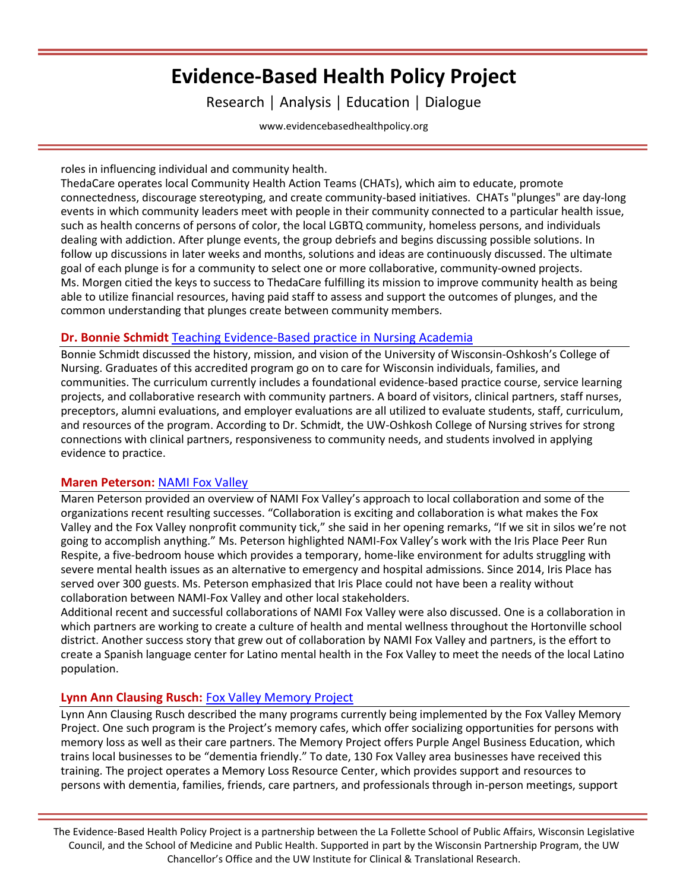# **Evidence-Based Health Policy Project**

Research │ Analysis │ Education │ Dialogue

[www.evidencebasedhealthpolicy.org](file:///C:/Users/randrae/Downloads/www.evidencebasedhealthpolicy.org)

roles in influencing individual and community health.

ThedaCare operates local Community Health Action Teams (CHATs), which aim to educate, promote connectedness, discourage stereotyping, and create community-based initiatives. CHATs "plunges" are day-long events in which community leaders meet with people in their community connected to a particular health issue, such as health concerns of persons of color, the local LGBTQ community, homeless persons, and individuals dealing with addiction. After plunge events, the group debriefs and begins discussing possible solutions. In follow up discussions in later weeks and months, solutions and ideas are continuously discussed. The ultimate goal of each plunge is for a community to select one or more collaborative, community-owned projects. Ms. Morgen citied the keys to success to ThedaCare fulfilling its mission to improve community health as being able to utilize financial resources, having paid staff to assess and support the outcomes of plunges, and the common understanding that plunges create between community members.

### **Dr. Bonnie Schmidt** [Teaching Evidence-Based practice in Nursing Academia](http://con.uwosh.edu/)

Bonnie Schmidt discussed the history, mission, and vision of the University of Wisconsin-Oshkosh's College of Nursing. Graduates of this accredited program go on to care for Wisconsin individuals, families, and communities. The curriculum currently includes a foundational evidence-based practice course, service learning projects, and collaborative research with community partners. A board of visitors, clinical partners, staff nurses, preceptors, alumni evaluations, and employer evaluations are all utilized to evaluate students, staff, curriculum, and resources of the program. According to Dr. Schmidt, the UW-Oshkosh College of Nursing strives for strong connections with clinical partners, responsiveness to community needs, and students involved in applying evidence to practice.

### **Maren Peterson:** [NAMI Fox Valley](https://www.namifoxvalley.org/)

Maren Peterson provided an overview of NAMI Fox Valley's approach to local collaboration and some of the organizations recent resulting successes. "Collaboration is exciting and collaboration is what makes the Fox Valley and the Fox Valley nonprofit community tick," she said in her opening remarks, "If we sit in silos we're not going to accomplish anything." Ms. Peterson highlighted NAMI-Fox Valley's work with the Iris Place Peer Run Respite, a five-bedroom house which provides a temporary, home-like environment for adults struggling with severe mental health issues as an alternative to emergency and hospital admissions. Since 2014, Iris Place has served over 300 guests. Ms. Peterson emphasized that Iris Place could not have been a reality without collaboration between NAMI-Fox Valley and other local stakeholders.

Additional recent and successful collaborations of NAMI Fox Valley were also discussed. One is a collaboration in which partners are working to create a culture of health and mental wellness throughout the Hortonville school district. Another success story that grew out of collaboration by NAMI Fox Valley and partners, is the effort to create a Spanish language center for Latino mental health in the Fox Valley to meet the needs of the local Latino population.

### **Lynn Ann Clausing Rusch:** [Fox Valley Memory Project](http://www.foxvalleymemoryproject.org/)

Lynn Ann Clausing Rusch described the many programs currently being implemented by the Fox Valley Memory Project. One such program is the Project's memory cafes, which offer socializing opportunities for persons with memory loss as well as their care partners. The Memory Project offers Purple Angel Business Education, which trains local businesses to be "dementia friendly." To date, 130 Fox Valley area businesses have received this training. The project operates a Memory Loss Resource Center, which provides support and resources to persons with dementia, families, friends, care partners, and professionals through in-person meetings, support

The Evidence-Based Health Policy Project is a partnership between the La Follette School of Public Affairs, Wisconsin Legislative Council, and the School of Medicine and Public Health. Supported in part by the Wisconsin Partnership Program, the UW Chancellor's Office and the UW Institute for Clinical & Translational Research.